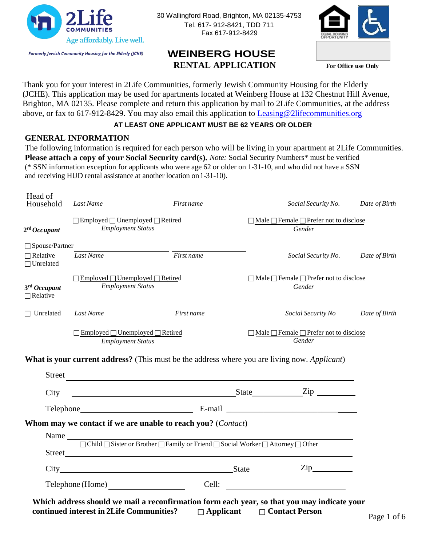

30 Wallingford Road, Brighton, MA 02135-4753 Tel. 617- 912-8421, TDD 711 Fax 617-912-8429



# **WEINBERG HOUSE RENTAL APPLICATION For Office use Only**

Thank you for your interest in 2Life Communities, formerly Jewish Community Housing for the Elderly (JCHE). This application may be used for apartments located at Weinberg House at 132 Chestnut Hill Avenue, Brighton, MA 02135. Please complete and return this application by mail to 2Life Communities, at the address above, or fax to 617-912-8429. You may also email this application to [Leasing@2lifecommunities.org](mailto:Leasing@2lifecommunities.org)

### **AT LEAST ONE APPLICANT MUST BE 62 YEARS OR OLDER**

### **GENERAL INFORMATION**

The following information is required for each person who will be living in your apartment at 2Life Communities. **Please attach a copy of your Social Security card(s).** *Note:* Social Security Numbers\* must be verified (\* SSN information exception for applicants who were age 62 or older on 1-31-10, and who did not have a SSN and receiving HUD rental assistance at another location on1-31-10).

| Head of<br>Household                | Last Name                                                                                                                                                                            | First name | Social Security No.                                               | Date of Birth |
|-------------------------------------|--------------------------------------------------------------------------------------------------------------------------------------------------------------------------------------|------------|-------------------------------------------------------------------|---------------|
| 2 <sup>rd</sup> Occup part          | $\Box$ Employed $\Box$ Unemployed $\Box$ Retired<br><b>Employment Status</b>                                                                                                         |            | □ Male □ Female □ Prefer not to disclose<br>Gender                |               |
| $\Box$ Spouse/Partner               |                                                                                                                                                                                      |            |                                                                   |               |
| $\Box$ Relative<br>$\Box$ Unrelated | Last Name                                                                                                                                                                            | First name | Social Security No. Date of Birth                                 |               |
| 3rd Occupant<br>$\Box$ Relative     | $\Box$ Employed $\Box$ Unemployed $\Box$ Retired<br><b>Employment Status</b>                                                                                                         |            | $\Box$ Male $\Box$ Female $\Box$ Prefer not to disclose<br>Gender |               |
|                                     |                                                                                                                                                                                      |            | Social Security No                                                | Date of Birth |
|                                     | Last Name                                                                                                                                                                            | First name |                                                                   |               |
| Street                              | $\Box$ Employed $\Box$ Unemployed $\Box$ Retired<br><b>Employment Status</b><br>What is your current address? (This must be the address where you are living now. Applicant)         |            | $\Box$ Male $\Box$ Female $\Box$ Prefer not to disclose<br>Gender |               |
| $\Box$ Unrelated<br>City            | <u> 1989 - Johann Stoff, deutscher Stoff, der Stoff, der Stoff, der Stoff, der Stoff, der Stoff, der Stoff, der S</u>                                                                |            |                                                                   |               |
|                                     | State Zip                                                                                                                                                                            |            |                                                                   |               |
|                                     | Whom may we contact if we are unable to reach you? (Contact)<br>Name $\Box$ Child $\Box$ Sister or Brother $\Box$ Family or Friend $\Box$ Social Worker $\Box$ Attorney $\Box$ Other |            |                                                                   |               |
|                                     |                                                                                                                                                                                      |            |                                                                   |               |
|                                     |                                                                                                                                                                                      |            |                                                                   |               |

**continued interest in 2Life Communities? Applicant Contact Person** Page 1 of <sup>6</sup>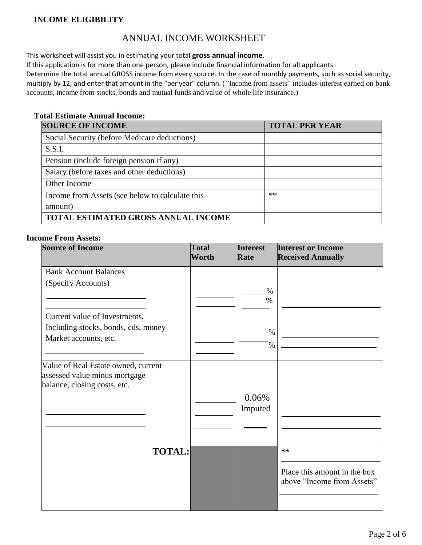### **INCOME ELIGIBILITY**

### ANNUAL INCOME WORKSHEET

This worksheet will assist you in estimating your total **gross annual income**.

If this application is for more than one person, please include financial information for all applicants.

Determine the total annual GROSS income from every source. In the case of monthly payments, such as social security, multiply by 12, and enter that amount in the "per year" column. (*"*Income from assets" includes interest earned on bank accounts, income from stocks, bonds and mutual funds and value of whole life insurance.)

#### **Total Estimate Annual Income:**

| <b>SOURCE OF INCOME</b>                         | <b>TOTAL PER YEAR</b> |
|-------------------------------------------------|-----------------------|
| Social Security (before Medicare deductions)    |                       |
| S.S.I.                                          |                       |
| Pension (include foreign pension if any)        |                       |
| Salary (before taxes and other deductions)      |                       |
| Other Income                                    |                       |
| Income from Assets (see below to calculate this | $**$                  |
| amount)                                         |                       |
| TOTAL ESTIMATED GROSS ANNUAL INCOME             |                       |

#### **Income From Assets:**

| <b>Source of Income</b>                                                                              | <b>Total</b><br>Worth | <b>Interest</b><br>Rate | <b>Interest or Income</b><br><b>Received Annually</b>               |
|------------------------------------------------------------------------------------------------------|-----------------------|-------------------------|---------------------------------------------------------------------|
| <b>Bank Account Balances</b>                                                                         |                       |                         |                                                                     |
| (Specify Accounts)                                                                                   |                       | $\%$<br>$\%$            |                                                                     |
| Current value of Investments,                                                                        |                       |                         |                                                                     |
| Including stocks, bonds, cds, money                                                                  |                       | $\%$                    |                                                                     |
| Market accounts, etc.                                                                                |                       | $\%$                    |                                                                     |
| Value of Real Estate owned, current<br>assessed value minus mortgage<br>balance, closing costs, etc. |                       | 0.06%<br>Imputed        |                                                                     |
|                                                                                                      |                       |                         |                                                                     |
| <b>TOTAL:</b>                                                                                        |                       |                         | $***$<br>Place this amount in the box<br>above "Income from Assets" |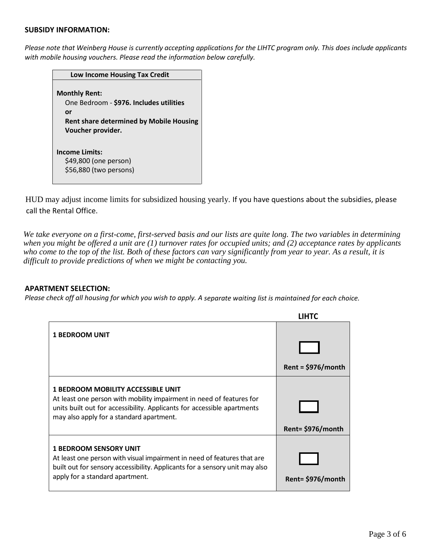#### **SUBSIDY INFORMATION:**

*Please note that Weinberg House is currently accepting applications for the LIHTC program only. This does include applicants with mobile housing vouchers. Please read the information below carefully.*

| Low Income Housing Tax Credit                                                                                                                |
|----------------------------------------------------------------------------------------------------------------------------------------------|
| <b>Monthly Rent:</b><br>One Bedroom - \$976. Includes utilities<br>or<br><b>Rent share determined by Mobile Housing</b><br>Voucher provider. |
| <b>Income Limits:</b><br>\$49,800 (one person)<br>\$56,880 (two persons)                                                                     |

HUD may adjust income limits for subsidized housing yearly. If you have questions about the subsidies, please call the Rental Office.

*We take everyone on a first-come, first-served basis and our lists are quite long. The two variables in determining when you might be offered a unit are (1) turnover rates for occupied units; and (2) acceptance rates by applicants who come to the top of the list. Both of these factors can vary significantly from year to year. As a result, it is difficult to provide predictions of when we might be contacting you.*

**LILL-C** 

#### **APARTMENT SELECTION:**

*Please check off all housing for which you wish to apply. A separate waiting list is maintained for each choice.*

|                                                                                                                                                                                                                                          | LIHIL                |
|------------------------------------------------------------------------------------------------------------------------------------------------------------------------------------------------------------------------------------------|----------------------|
| <b>1 BEDROOM UNIT</b>                                                                                                                                                                                                                    | Rent = $$976/m$ onth |
| <b>1 BEDROOM MOBILITY ACCESSIBLE UNIT</b><br>At least one person with mobility impairment in need of features for<br>units built out for accessibility. Applicants for accessible apartments<br>may also apply for a standard apartment. | Rent= \$976/month    |
| <b>1 BEDROOM SENSORY UNIT</b><br>At least one person with visual impairment in need of features that are<br>built out for sensory accessibility. Applicants for a sensory unit may also<br>apply for a standard apartment.               | Rent= \$976/month    |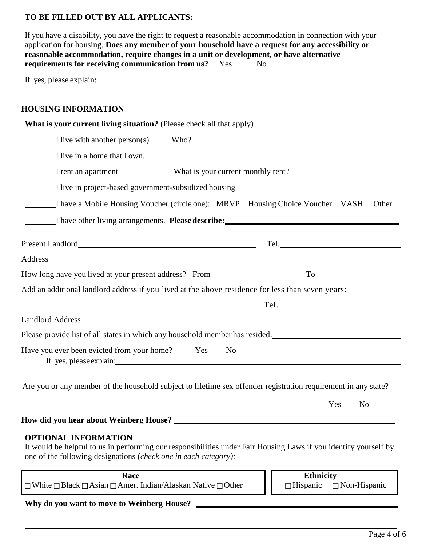## **TO BE FILLED OUT BY ALL APPLICANTS:**

| <b>HOUSING INFORMATION</b>                                                                                                                                                                                                     |                                                                                                   |
|--------------------------------------------------------------------------------------------------------------------------------------------------------------------------------------------------------------------------------|---------------------------------------------------------------------------------------------------|
| What is your current living situation? (Please check all that apply)                                                                                                                                                           |                                                                                                   |
|                                                                                                                                                                                                                                |                                                                                                   |
| I live in a home that I own.                                                                                                                                                                                                   |                                                                                                   |
| I rent an apartment                                                                                                                                                                                                            | What is your current monthly rent?                                                                |
| I live in project-based government-subsidized housing                                                                                                                                                                          |                                                                                                   |
|                                                                                                                                                                                                                                | I have a Mobile Housing Voucher (circle one): MRVP Housing Choice Voucher VASH<br>Other           |
|                                                                                                                                                                                                                                | I have other living arrangements. <b>Please describe:</b>                                         |
|                                                                                                                                                                                                                                |                                                                                                   |
| Address and the contract of the contract of the contract of the contract of the contract of the contract of the contract of the contract of the contract of the contract of the contract of the contract of the contract of th |                                                                                                   |
|                                                                                                                                                                                                                                |                                                                                                   |
|                                                                                                                                                                                                                                | Add an additional landlord address if you lived at the above residence for less than seven years: |
|                                                                                                                                                                                                                                | Tel._______________________________                                                               |
|                                                                                                                                                                                                                                |                                                                                                   |
|                                                                                                                                                                                                                                | Please provide list of all states in which any household member has resided:                      |
|                                                                                                                                                                                                                                | Have you ever been evicted from your home? Yes___No _____                                         |

### **OPTIONAL INFORMATION**

It would be helpful to us in performing our responsibilities under Fair Housing Laws if you identify yourself by one of the following designations (*check one in each category):*

| Race                                                                                   |
|----------------------------------------------------------------------------------------|
| $\Box$ White $\Box$ Black $\Box$ Asian $\Box$ Amer. Indian/Alaskan Native $\Box$ Other |

**Ethnicity**  $\Box$ Hispanic  $\Box$  Non-Hispanic

**Why do you want to move to Weinberg House?**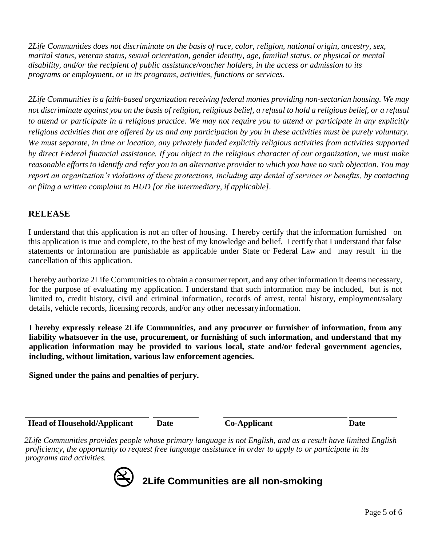*2Life Communities does not discriminate on the basis of race, color, religion, national origin, ancestry, sex, marital status, veteran status, sexual orientation, gender identity, age, familial status, or physical or mental disability, and/or the recipient of public assistance/voucher holders, in the access or admission to its programs or employment, or in its programs, activities, functions or services.*

*2Life Communities is a faith-based organization receiving federal monies providing non-sectarian housing. We may not discriminate against you on the basis of religion, religious belief, a refusal to hold a religious belief, or a refusal to attend or participate in a religious practice. We may not require you to attend or participate in any explicitly religious activities that are offered by us and any participation by you in these activities must be purely voluntary. We must separate, in time or location, any privately funded explicitly religious activities from activities supported by direct Federal financial assistance. If you object to the religious character of our organization, we must make reasonable efforts to identify and refer you to an alternative provider to which you have no such objection. You may report an organization's violations of these protections, including any denial of services or benefits, by contacting or filing a written complaint to HUD [or the intermediary, if applicable].*

### **RELEASE**

I understand that this application is not an offer of housing. I hereby certify that the information furnished on this application is true and complete, to the best of my knowledge and belief. I certify that I understand that false statements or information are punishable as applicable under State or Federal Law and may result in the cancellation of this application.

I hereby authorize 2Life Communities to obtain a consumer report, and any other information it deems necessary, for the purpose of evaluating my application. I understand that such information may be included, but is not limited to, credit history, civil and criminal information, records of arrest, rental history, employment/salary details, vehicle records, licensing records, and/or any other necessaryinformation.

**I hereby expressly release 2Life Communities, and any procurer or furnisher of information, from any liability whatsoever in the use, procurement, or furnishing of such information, and understand that my application information may be provided to various local, state and/or federal government agencies, including, without limitation, various law enforcement agencies.**

**Signed under the pains and penalties of perjury.**

**Head of Household/Applicant Date Co-Applicant Date**

*2Life Communities provides people whose primary language is not English, and as a result have limited English proficiency, the opportunity to request free language assistance in order to apply to or participate in its programs and activities.*



**2Life Communities are all non-smoking**